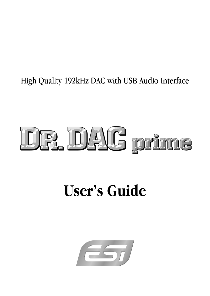# High Quality 192kHz DAC with USB Audio Interface

# DR. DAG prime

# **User's Guide**

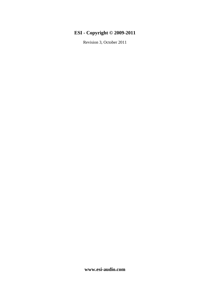## **ESI - Copyright © 2009-2011**

Revision 3, October 2011

**www.esi-audio.com**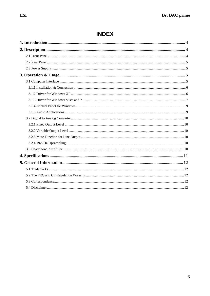# **INDEX**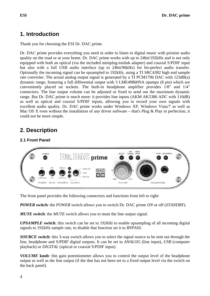# **1. Introduction**

Thank you for choosing the ESI Dr. DAC prime.

Dr. DAC prime provides everything you need in order to listen to digital music with pristine audio quality on the road or at your home. Dr. DAC prime works with up to 24bit/192kHz and is not only equipped with both an optical (via the included miniplug-toslink adapter) and coaxial S/PDIF input but also with a full USB audio interface (up to 24bit/96kHz) for bit-perfect audio transfer. Optionally the incoming signal can be upsampled to 192kHz, using a TI SRC4382 high end sample rate converter. The actual analog output signal is generated by a TI PCM1796 DAC with 123dB(a) dynamic range, featuring a full differential output with 3 LME49860NA opamps (8 pin) which are conveniently placed on sockets. The built-in headphone amplifier provides 1/8" and 1/4" connectors. The line output volume can be adjusted or fixed to send out the maximum dynamic range. But Dr. DAC prime is much more: it provides line inputs (AKM AK5386 ADC with 110dB) as well as optical and coaxial S/PDIF inputs, allowing you to record your own signals with excellent audio quality. Dr. DAC prime works under Windows XP, Windows Vista/7 as well as Mac OS X even without the installation of any driver software – that's Plug & Play in perfection, it could not be more simple.

# **2. Description**

#### **2.1 Front Panel**



The front panel provides the following connectors and functions from left to right:

*POWER* **switch**: the *POWER* switch allows you to switch Dr. DAC prime *ON* or off (*STANDBY*).

*MUTE* **switch**: the *MUTE* switch allows you to mute the line output signal.

*UPSAMPLE* **switch**: this switch can be set to *192kHz* to enable upsampling of all incoming digital signals to 192kHz sample rate, to disable that function set it to *BYPASS*.

*SOURCE* **switch**: this 3-way switch allows you to select the signal source to be sent out through the line, headphone and S/PDIF digital outputs. It can be set to *ANALOG* (line input), *USB* (computer playback) or *DIGITAL* (optical or coaxial S/PDIF input).

*VOLUME* **knob**: this gain potentiometer allows you to control the output level of the headphone output as well as the line output (if the that has not been set to a fixed output level via the switch on the back panel).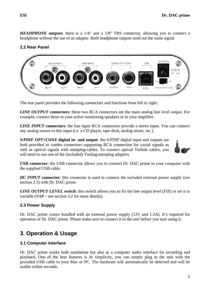*HEADPHONE* **outputs**: there is a 1/4" and a 1/8" TRS connector, allowing you to connect a headphone without the use of an adapter. Both headphone outputs send out the same signal.

#### **2.2 Rear Panel**



The rear panel provides the following connectors and functions from left to right:

*LINE OUTPUT* **connectors**: these two RCA connectors are the main analog line level output. For example, connect these to your active monitoring speakers or to your amplifier.

*LINE INPUT* **connectors**: the line input RCA connectors provide a stereo input. You can connect any analog source to this input (i.e. a CD player, tape deck, analog mixer, etc.).

*S/PDIF OPT+COAX* **digital in- and output**: the S/PDIF digital input and outputs are both provided as combo connectors supporting RCA connection for coxial signals as well as optical signals with miniplug-cables. To connect optical Toslink cables, you will need to use one of the (included) Tosling-miniplug adapters.



*USB* **connector**: the USB connector allows you to connect Dr. DAC prime to your computer with the supplied USB cable.

*DC INPUT* connector: this connector is used to connect the included external power supply (see section 2.3) with Dr. DAC prime.

*LINE OUTPUT LEVEL* **switch**: this switch allows you to fix the line output level (*FIX*) or set it to variable (*VAR* – see section 3.2 for more details).

#### **2.3 Power Supply**

Dr. DAC prime comes bundled with an external power supply (12V and 1.5A). It's required for operation of Dr. DAC prime. Please make sure to connect it to the unit before you start using it.

# **3. Operation & Usage**

#### **3.1 Computer Interface**

Dr. DAC prime works both standalone but also as a computer audio interface for recording and playback. One of the best features is its simplicity, you can simply plug in the unit with the provided USB cable to your Mac or PC. The hardware will automatically be detected and will be usable within seconds.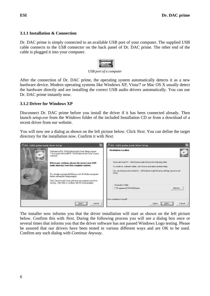#### **3.1.1 Installation & Connection**

Dr. DAC prime is simply connected to an available USB port of your computer. The supplied USB cable connects to the *USB* connector on the back panel of Dr. DAC prime. The other end of the cable is plugged it into your computer.



*USB port of a computer* 

After the connection of Dr. DAC prime, the operating system automatically detects it as a new hardware device. Modern operating systems like Windows XP, Vista/7 or Mac OS X usually detect the hardware directly and are installing the correct USB audio drivers automatically. You can use Dr. DAC prime instantly now.

#### **3.1.2 Driver for Windows XP**

Disconnect Dr. DAC prime before you install the driver if it has been connected already. Then launch *setup.exe* from the *Windows* folder of the included Installation CD or from a download of a recent driver from our website.

You will now see a dialog as shown on the left picture below. Click *Next*. You can define the target directory for the installation now. Confirm it with *Next*.

| 景 ESI - DrDACprime Audio Driver Setup |                                                                                                                                                                | 吴 ESI - DrDACprime Audio Driver Setup                                                                                                                                                                                                                        |
|---------------------------------------|----------------------------------------------------------------------------------------------------------------------------------------------------------------|--------------------------------------------------------------------------------------------------------------------------------------------------------------------------------------------------------------------------------------------------------------|
| $\odot$                               | Welcome to ESI - DrDACprime Audio Driver Setup program.<br>This program will install ESI - DrDACprime Audio Driver on your<br>computer.                        | <b>Destination Location</b>                                                                                                                                                                                                                                  |
|                                       | Before you continue, please disconnect your USB<br>audio device(s) from this computer system.<br>It is strongly recommended that you exit all Windows programs | Setup will install ESI - DrDACprime Audio Driver in the following folder.<br>To install into a different folder, click Browse and select another folder.<br>You can choose not to install ESI - DrDACprime Audio Driver by clicking Cancel to exit<br>Setup. |
|                                       | before running this Setup program.<br>Click Cancel to quit Setup and close any programs you have<br>running. Click Next to continue with the Setup program.    | Destination Folder<br>Browse<br>C:\Programme\ESI\DrDACprime                                                                                                                                                                                                  |
|                                       | Next<br>Cancel                                                                                                                                                 | Wise Installation Wizard®<br>Next<br>$\leq$ Back<br>Cancel                                                                                                                                                                                                   |

The installer now informs you that the driver installation will start as shown on the left picture below. Confirm this with *Next*. During the following process you will see a dialog box once or several times that informs you that the driver software has not passed Windows Logo testing. Please be assured that our drivers have been tested in various different ways and are OK to be used. Confirm any such dialog with *Continue Anyway*.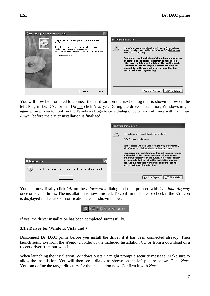

You will now be prompted to connect the hardware on the next dialog that is shown below on the left. Plug in Dr. DAC prime. Do not click *Next* yet. During the driver installation, Windows might again prompt you to confirm the Windows Logo testing dialog once or several times with *Continue Anway* before the driver installation is finalized.

|                                                                                                       | <b>Hardware Installation</b>                                                                                                                                                                                                                                                                                                                                                                                                                                                                                                                |
|-------------------------------------------------------------------------------------------------------|---------------------------------------------------------------------------------------------------------------------------------------------------------------------------------------------------------------------------------------------------------------------------------------------------------------------------------------------------------------------------------------------------------------------------------------------------------------------------------------------------------------------------------------------|
| <b>Information</b><br>To finish the installation connect your device to this computer and turn it on. | The software you are installing for this hardware:<br>DrDACprime Controller driver<br>has not passed Windows Logo testing to verify its compatibility<br>with Windows XP. [Tell me why this testing is important.]<br>Continuing your installation of this software may impair<br>or destabilize the correct operation of your system<br>either immediately or in the future. Microsoft strongly<br>recommends that you stop this installation now and<br>contact the hardware vendor for software that has<br>passed Windows Logo testing. |
| <br>OK<br>                                                                                            | STOP Installation<br>Continue Anyway                                                                                                                                                                                                                                                                                                                                                                                                                                                                                                        |

You can now finally click *OK* on the *Information* dialog and then proceed with *Continue Anyway* once or several times. The installation is now finished. To confirm this, please check if the ESI icon is displayed in the taskbar notification area as shown below.



If yes, the driver installation has been completed successfully.

#### **3.1.3 Driver for Windows Vista and 7**

Disconnect Dr. DAC prime before you install the driver if it has been connected already. Then launch *setup.exe* from the *Windows* folder of the included Installation CD or from a download of a recent driver from our website.

When launching the installation, Windows Vista / 7 might prompt a security message. Make sure to allow the installation. You will then see a dialog as shown on the left picture below. Click *Next*. You can define the target directory for the installation now. Confirm it with *Next*.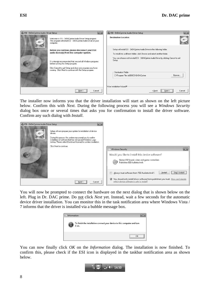

The installer now informs you that the driver installation will start as shown on the left picture below. Confirm this with *Next*. During the following process you will see a *Windows Security* dialog box once or several times that asks you for confirmation to install the driver software. Confirm any such dialog with *Install*.



You will now be prompted to connect the hardware on the next dialog that is shown below on the left. Plug in Dr. DAC prime. Do not click *Next* yet. Instead, wait a few seconds for the automatic device driver installation. You can monitor this in the task notification area where Windows Vista / 7 informs that the driver is installed via a bubble message box.



You can now finally click *OK* on the *Information* dialog. The installation is now finished. To confirm this, please check if the ESI icon is displayed in the taskbar notification area as shown below.

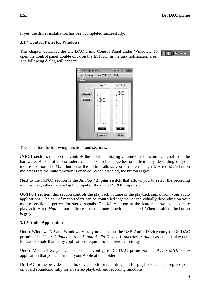If yes, the driver installation has been completed successfully.

#### **3.1.4 Control Panel for Windows**

This chapter describes the Dr. DAC prime Control Panel under Windows. To open the control panel double click on the ESI icon in the task notification area. The following dialog will appear:

■ ● ● 1:47 PM

| File<br>$\epsilon$ <sub>5</sub> | Config DirectWIRE(R)                                                                                                                                                                                                                                                                                                                                                                                                                                                                                                                                                                                                                                                                                                                                                                                                                                                                                                                                                                                                                      | Help                                                                                                                                                                                                                                                                                                                                                                                                                                                                                                                                                      |
|---------------------------------|-------------------------------------------------------------------------------------------------------------------------------------------------------------------------------------------------------------------------------------------------------------------------------------------------------------------------------------------------------------------------------------------------------------------------------------------------------------------------------------------------------------------------------------------------------------------------------------------------------------------------------------------------------------------------------------------------------------------------------------------------------------------------------------------------------------------------------------------------------------------------------------------------------------------------------------------------------------------------------------------------------------------------------------------|-----------------------------------------------------------------------------------------------------------------------------------------------------------------------------------------------------------------------------------------------------------------------------------------------------------------------------------------------------------------------------------------------------------------------------------------------------------------------------------------------------------------------------------------------------------|
|                                 | <b>INPUT</b>                                                                                                                                                                                                                                                                                                                                                                                                                                                                                                                                                                                                                                                                                                                                                                                                                                                                                                                                                                                                                              | OUTPUT                                                                                                                                                                                                                                                                                                                                                                                                                                                                                                                                                    |
| <b>Analog</b><br><b>Digital</b> | $\label{def:main} \begin{minipage}[t]{0.00\textwidth} \begin{minipage}[t]{0.00\textwidth} \centering \begin{minipage}[t]{0.00\textwidth} \centering \end{minipage}[t]{0.00\textwidth} \begin{minipage}[t]{0.00\textwidth} \centering \end{minipage}[t]{0.00\textwidth} \begin{minipage}[t]{0.00\textwidth} \centering \end{minipage}[t]{0.00\textwidth} \begin{minipage}[t]{0.00\textwidth} \centering \end{minipage}[t]{0.00\textwidth} \begin{minipage}[t]{0.00\textwidth} \centering \end{minipage}[t$<br>$\label{def:main} \begin{minipage}[t]{0.03\textwidth} \centering \begin{minipage}[t]{0.03\textwidth} \centering \begin{minipage}[t]{0.03\textwidth} \centering \end{minipage}[t]{0.03\textwidth} \centering \begin{minipage}[t]{0.03\textwidth} \centering \end{minipage}[t]{0.03\textwidth} \centering \begin{minipage}[t]{0.03\textwidth} \centering \end{minipage}[t]{0.03\textwidth} \centering \begin{minipage}[t]{0.03\textwidth} \centering \end{minipage}[t]{0.03\textwidth} \centering \end{minipage}[t]{0.03$<br>Ŧ | т<br>$\label{def:main} Theorem~\ref{def:1pt} \begin{minipage}{0.9\textwidth} \centering \begin{minipage}{0.9\textwidth} \centering \end{minipage} \begin{minipage}{0.9\textwidth} \centering \begin{minipage}{0.9\textwidth} \centering \end{minipage} \begin{minipage}{0.9\textwidth} \centering \end{minipage} \begin{minipage}{0.9\textwidth} \centering \end{minipage} \begin{minipage}{0.9\textwidth} \centering \end{minipage} \begin{minipage}{0.9\textwidth} \centering \end{minipage} \begin{minipage}{0.9\textwidth} \centering \end{minipage}$ |
|                                 | OdB<br>ij                                                                                                                                                                                                                                                                                                                                                                                                                                                                                                                                                                                                                                                                                                                                                                                                                                                                                                                                                                                                                                 | OdB                                                                                                                                                                                                                                                                                                                                                                                                                                                                                                                                                       |
|                                 | Mute                                                                                                                                                                                                                                                                                                                                                                                                                                                                                                                                                                                                                                                                                                                                                                                                                                                                                                                                                                                                                                      | Mute                                                                                                                                                                                                                                                                                                                                                                                                                                                                                                                                                      |

The panel has the following functions and sections:

*INPUT* section: this section controls the input monitoring volume of the incoming signal from the hardware. A pair of mono faders can be controlled together or individually depending on your mouse position The *Mute* button at the bottom allows you to mute the signal. A red *Mute* button indicates that the mute function is enabled. When disabled, the button is gray.

Next to the *INPUT* section is the *Analog* **/** *Digital* **switch** that allows you to select the recording input source, either the analog line input or the digital S/PDIF input signal.

*OUTPUT* **section**: this section controls the playback volume of the playback signal from your audio applications. The pair of mono faders can be controlled together or individually depending on your mouse position – perfect for stereo signals. The *Mute* button at the bottom allows you to mute playback. A red *Mute* button indicates that the mute function is enabled. When disabled, the button is gray.

#### **3.1.5 Audio Applications**

Under Windows XP and Windows Vista you can select the USB Audio Device entry of Dr. DAC prime under *Control Panel > Sounds and Audio Device Properties > Audio* as default playback. Please also note that many applications require their individual settings.

Under Mac OS X, you can select and configure Dr. DAC prime via the *Audio MIDI Setup* application that you can find in your Applications folder.

Dr. DAC prime provides an audio device both for recording and for playback as it can replace your on board soundcard fully for all stereo playback and recording functions.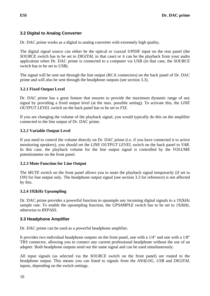#### **3.2 Digital to Analog Converter**

Dr. DAC prime works as a digital to analog converter with extremely high quality.

The digital signal source can either be the optical or coaxial S/PDIF input on the rear panel (the *SOURCE* switch has to be set to *DIGITAL* in that case) or it can be the playback from your audio application when Dr. DAC prime is connected to a computer via USB (in that case, the *SOURCE* switch has to be set to *USB*).

The signal will be sent out through the line output (RCA connectors) on the back panel of Dr. DAC prime and will also be sent through the headphone outputs (see section 3.3).

#### **3.2.1 Fixed Output Level**

Dr. DAC prime has a great feature that ensures to provide the maximum dynamic range of any signal by providing a fixed output level (at the max. possible setting). To activate this, the *LINE OUTPUT LEVEL* switch on the back panel has to be set to *FIX*.

If you are changing the volume of the playback signal, you would typically do this on the amplifier connected to the line output of Dr. DAC prime.

#### **3.2.2 Variable Output Level**

If you need to control the volume directly on Dr. DAC prime (i.e. if you have connected it to active monitoring speakers), you should set the *LINE OUTPUT LEVEL* switch on the back panel to *VAR*. In this case, the playback volume for the line output signal is controlled by the *VOLUME* potentiometer on the front panel.

#### **3.2.3 Mute Function for Line Output**

The *MUTE* switch on the front panel allows you to mute the playback signal temporarily (if set to *ON*) for line output only. The headphone output signal (see section 3.3 for reference) is not affected by this.

#### **3.2.4 192kHz Upsampling**

Dr. DAC prime provides a powerful function to upsample any incoming digital signals to a 192kHz sample rate. To enable the upsampling function, the *UPSAMPLE* switch has to be set to *192kHz*, otherwise to *BYPASS*.

#### **3.3 Headphone Amplifier**

Dr. DAC prime can be used as a powerful headphone amplifier.

It provides two individual headphone outputs on the front panel, one with a 1/4" and one with a 1/8" TRS connector, allowing you to connect any current professional headphone without the use of an adapter. Both headphone outputs send out the same signal and can be used simultaneously.

All input signals (as selected via the *SOURCE* switch on the front panel) are routed to the headphone output. This means you can listed to signals from the *ANALOG*, *USB* and *DIGITAL* inputs, depending on the switch settings.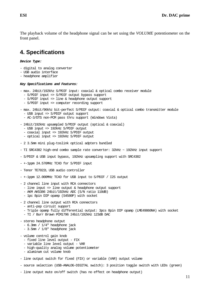The playback volume of the headphone signal can be set using the *VOLUME* potentiometer on the front panel.

### **4. Specifications**

*Device Type:* 

- digital to analog converter
- USB audio interface
- headphone amplifier

#### *Key Specifications and Features:*

- max. 24bit/192khz S/PDIF input: coaxial & optical combo receiver module
	- S/PDIF input => S/PDIF output bypass support
	- S/PDIF input => line & headphone output support
	- S/PDIF input => computer recording support
- max. 24bit/96khz bit-perfect S/PDIF output: coaxial & optical combo transmitter module - USB input => S/PDIF output support
	- AC-3/DTS non-PCM pass thru support (Windows Vista)
- 24bit/192kHz upsampled S/PDIF output (optical & coaxial)
	- USB input => 192kHz S/PDIF output
	- coaxial input => 192kHz S/PDIF output
	- optical input => 192kHz S/PDIF output
- 2 3.5mm mini plug-toslink optical adpters bundled
- TI SRC4382 high-end combo sample rate converter:  $32kHz \sim 192kHz$  input support
- S/PDIF & USB input bypass, 192kHz upsampling support with SRC4382
- +-1ppm 24.576MHz TCXO for S/PDIF input
- Tenor TE7022L USB audio controller
- +-1ppm 12.000MHz TCXO for USB input to S/PDIF / I2S output
- 2 channel line input with RCA connectors
	- line input => line output & headphone output support
	- AKM AK5386 24bit/192kHz ADC (S/N ratio 110dB)
	- 1pc 8pin DIP opamp (S4580P) with socket
- 2 channel line output with RCA connectors
	- anti-pop circuit support
	- Triple opamp fully differential output: 3pcs 8pin DIP opamp (LME49860NA) with socket
	- TI / Burr Brown PCM1796 24bit/192kHz 123dB DAC
- stereo headphone output
	- 6.3mm / 1/4" headphone jack
	- 3.5mm / 1/8" headphone jack
- volume control gain knob
	- fixed line level output FIX
	- variable line level output VAR
	- high-quality analog volume potentiometer
	- aluminum cut volume knob
- line output switch for fixed (FIX) or variable (VAR) output volume
- source selection (USB-ANALOG-DIGITAL switch): 3 position toggle switch with LEDs (green)
- line output mute on/off switch (has no effect on headphone output)